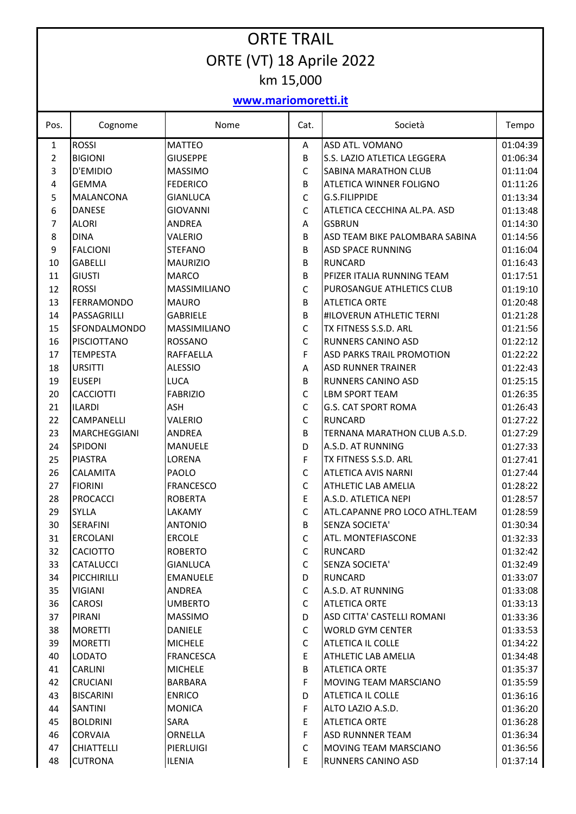## ORTE TRAIL ORTE (VT) 18 Aprile 2022 km 15,000

## **www.mariomoretti.it**

| Pos.                    | Cognome            | Nome             | Cat.         | Società                          | Tempo    |  |  |  |  |
|-------------------------|--------------------|------------------|--------------|----------------------------------|----------|--|--|--|--|
| 1                       | <b>ROSSI</b>       | <b>MATTEO</b>    | A            | ASD ATL. VOMANO                  | 01:04:39 |  |  |  |  |
| $\overline{2}$          | <b>BIGIONI</b>     | <b>GIUSEPPE</b>  | B            | S.S. LAZIO ATLETICA LEGGERA      | 01:06:34 |  |  |  |  |
| 3                       | D'EMIDIO           | <b>MASSIMO</b>   | C            | SABINA MARATHON CLUB             | 01:11:04 |  |  |  |  |
| $\overline{\mathbf{4}}$ | <b>GEMMA</b>       | <b>FEDERICO</b>  | B            | ATLETICA WINNER FOLIGNO          | 01:11:26 |  |  |  |  |
| 5                       | <b>MALANCONA</b>   | <b>GIANLUCA</b>  | C            | G.S.FILIPPIDE                    | 01:13:34 |  |  |  |  |
| 6                       | <b>DANESE</b>      | <b>GIOVANNI</b>  | $\mathsf{C}$ | ATLETICA CECCHINA AL.PA. ASD     | 01:13:48 |  |  |  |  |
| $\overline{7}$          | <b>ALORI</b>       | <b>ANDREA</b>    | Α            | <b>GSBRUN</b>                    | 01:14:30 |  |  |  |  |
| 8                       | <b>DINA</b>        | VALERIO          | B            | ASD TEAM BIKE PALOMBARA SABINA   | 01:14:56 |  |  |  |  |
| $9\,$                   | <b>FALCIONI</b>    | <b>STEFANO</b>   | B            | <b>ASD SPACE RUNNING</b>         | 01:16:04 |  |  |  |  |
| 10                      | <b>GABELLI</b>     | <b>MAURIZIO</b>  | B            | <b>RUNCARD</b>                   | 01:16:43 |  |  |  |  |
| 11                      | <b>GIUSTI</b>      | <b>MARCO</b>     | B            | PFIZER ITALIA RUNNING TEAM       | 01:17:51 |  |  |  |  |
| 12                      | <b>ROSSI</b>       | MASSIMILIANO     | $\mathsf{C}$ | PUROSANGUE ATHLETICS CLUB        | 01:19:10 |  |  |  |  |
| 13                      | <b>FERRAMONDO</b>  | <b>MAURO</b>     | B            | <b>ATLETICA ORTE</b>             | 01:20:48 |  |  |  |  |
| 14                      | PASSAGRILLI        | <b>GABRIELE</b>  | B            | #ILOVERUN ATHLETIC TERNI         | 01:21:28 |  |  |  |  |
| 15                      | SFONDALMONDO       | MASSIMILIANO     | $\mathsf C$  | TX FITNESS S.S.D. ARL            | 01:21:56 |  |  |  |  |
| 16                      | <b>PISCIOTTANO</b> | <b>ROSSANO</b>   | C            | RUNNERS CANINO ASD               | 01:22:12 |  |  |  |  |
| 17                      | <b>TEMPESTA</b>    | <b>RAFFAELLA</b> | F            | <b>ASD PARKS TRAIL PROMOTION</b> | 01:22:22 |  |  |  |  |
| 18                      | <b>URSITTI</b>     | <b>ALESSIO</b>   | A            | <b>ASD RUNNER TRAINER</b>        | 01:22:43 |  |  |  |  |
| 19                      | <b>EUSEPI</b>      | <b>LUCA</b>      | B            | RUNNERS CANINO ASD               | 01:25:15 |  |  |  |  |
| 20                      | <b>CACCIOTTI</b>   | <b>FABRIZIO</b>  | C            | <b>LBM SPORT TEAM</b>            | 01:26:35 |  |  |  |  |
| 21                      | <b>ILARDI</b>      | ASH              | $\mathsf C$  | <b>G.S. CAT SPORT ROMA</b>       | 01:26:43 |  |  |  |  |
| 22                      | CAMPANELLI         | VALERIO          | C            | <b>RUNCARD</b>                   | 01:27:22 |  |  |  |  |
| 23                      | MARCHEGGIANI       | <b>ANDREA</b>    | B            | TERNANA MARATHON CLUB A.S.D.     | 01:27:29 |  |  |  |  |
| 24                      | SPIDONI            | <b>MANUELE</b>   | D            | A.S.D. AT RUNNING                | 01:27:33 |  |  |  |  |
| 25                      | <b>PIASTRA</b>     | LORENA           | F            | TX FITNESS S.S.D. ARL            | 01:27:41 |  |  |  |  |
| 26                      | <b>CALAMITA</b>    | PAOLO            | C            | <b>ATLETICA AVIS NARNI</b>       | 01:27:44 |  |  |  |  |
| 27                      | <b>FIORINI</b>     | <b>FRANCESCO</b> | $\mathsf C$  | <b>ATHLETIC LAB AMELIA</b>       | 01:28:22 |  |  |  |  |
| 28                      | <b>PROCACCI</b>    | <b>ROBERTA</b>   | $\mathsf E$  | A.S.D. ATLETICA NEPI             | 01:28:57 |  |  |  |  |
| 29                      | <b>SYLLA</b>       | LAKAMY           | $\mathsf{C}$ | ATL.CAPANNE PRO LOCO ATHL.TEAM   | 01:28:59 |  |  |  |  |
| 30                      | <b>SERAFINI</b>    | <b>ANTONIO</b>   | B            | SENZA SOCIETA'                   | 01:30:34 |  |  |  |  |
| 31                      | ERCOLANI           | <b>ERCOLE</b>    | C            | <b>ATL. MONTEFIASCONE</b>        | 01:32:33 |  |  |  |  |
| 32                      | <b>CACIOTTO</b>    | ROBERTO          | C            | <b>RUNCARD</b>                   | 01:32:42 |  |  |  |  |
| 33                      | CATALUCCI          | <b>GIANLUCA</b>  | C            | SENZA SOCIETA'                   | 01:32:49 |  |  |  |  |
| 34                      | PICCHIRILLI        | <b>EMANUELE</b>  | D            | <b>RUNCARD</b>                   | 01:33:07 |  |  |  |  |
| 35                      | <b>VIGIANI</b>     | ANDREA           | $\mathsf C$  | A.S.D. AT RUNNING                | 01:33:08 |  |  |  |  |
| 36                      | <b>CAROSI</b>      | <b>UMBERTO</b>   | C            | <b>ATLETICA ORTE</b>             | 01:33:13 |  |  |  |  |
| 37                      | PIRANI             | <b>MASSIMO</b>   | D            | ASD CITTA' CASTELLI ROMANI       | 01:33:36 |  |  |  |  |
| 38                      | <b>MORETTI</b>     | DANIELE          | C            | <b>WORLD GYM CENTER</b>          | 01:33:53 |  |  |  |  |
| 39                      | <b>MORETTI</b>     | <b>MICHELE</b>   | C            | <b>ATLETICA IL COLLE</b>         | 01:34:22 |  |  |  |  |
| 40                      | <b>LODATO</b>      | <b>FRANCESCA</b> | E            | ATHLETIC LAB AMELIA              | 01:34:48 |  |  |  |  |
| 41                      | <b>CARLINI</b>     | <b>MICHELE</b>   | B            | <b>ATLETICA ORTE</b>             | 01:35:37 |  |  |  |  |
| 42                      | <b>CRUCIANI</b>    | BARBARA          | F            | MOVING TEAM MARSCIANO            | 01:35:59 |  |  |  |  |
| 43                      | <b>BISCARINI</b>   | <b>ENRICO</b>    | D            | <b>ATLETICA IL COLLE</b>         | 01:36:16 |  |  |  |  |
| 44                      | SANTINI            | <b>MONICA</b>    | F            | ALTO LAZIO A.S.D.                | 01:36:20 |  |  |  |  |
| 45                      | <b>BOLDRINI</b>    | SARA             | E            | <b>ATLETICA ORTE</b>             | 01:36:28 |  |  |  |  |
| 46                      | <b>CORVAIA</b>     | ORNELLA          | F            | <b>ASD RUNNNER TEAM</b>          | 01:36:34 |  |  |  |  |
| 47                      | <b>CHIATTELLI</b>  | PIERLUIGI        | C            | MOVING TEAM MARSCIANO            | 01:36:56 |  |  |  |  |
| 48                      | <b>CUTRONA</b>     | ILENIA           | E            | RUNNERS CANINO ASD               | 01:37:14 |  |  |  |  |